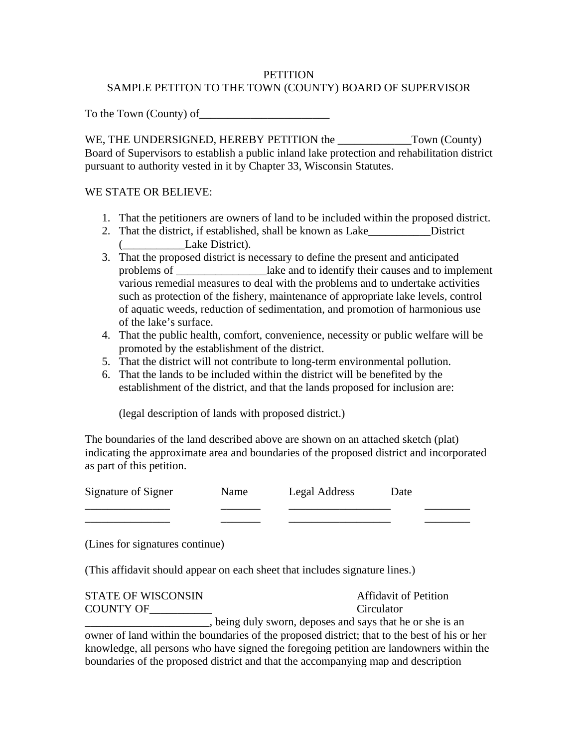## **PETITION** SAMPLE PETITON TO THE TOWN (COUNTY) BOARD OF SUPERVISOR

To the Town (County) of\_\_\_\_\_\_\_\_\_\_\_\_\_\_\_\_\_\_\_\_\_\_\_

WE, THE UNDERSIGNED, HEREBY PETITION the \_\_\_\_\_\_\_\_\_\_\_\_\_Town (County) Board of Supervisors to establish a public inland lake protection and rehabilitation district pursuant to authority vested in it by Chapter 33, Wisconsin Statutes.

## WE STATE OR BELIEVE:

- 1. That the petitioners are owners of land to be included within the proposed district.
- 2. That the district, if established, shall be known as Lake\_\_\_\_\_\_\_\_\_\_\_District (\_\_\_\_\_\_\_\_\_\_\_Lake District).
- 3. That the proposed district is necessary to define the present and anticipated problems of \_\_\_\_\_\_\_\_\_\_\_\_\_\_\_\_lake and to identify their causes and to implement various remedial measures to deal with the problems and to undertake activities such as protection of the fishery, maintenance of appropriate lake levels, control of aquatic weeds, reduction of sedimentation, and promotion of harmonious use of the lake's surface.
- 4. That the public health, comfort, convenience, necessity or public welfare will be promoted by the establishment of the district.
- 5. That the district will not contribute to long-term environmental pollution.
- 6. That the lands to be included within the district will be benefited by the establishment of the district, and that the lands proposed for inclusion are:

(legal description of lands with proposed district.)

The boundaries of the land described above are shown on an attached sketch (plat) indicating the approximate area and boundaries of the proposed district and incorporated as part of this petition.

| Signature of Signer | Name | Legal Address | Date |
|---------------------|------|---------------|------|
|                     |      |               |      |
|                     |      |               |      |

(Lines for signatures continue)

(This affidavit should appear on each sheet that includes signature lines.)

| <b>STATE OF WISCONSIN</b> | <b>Affidavit of Petition</b>                                                                |
|---------------------------|---------------------------------------------------------------------------------------------|
| COUNTY OF                 | Circulator                                                                                  |
|                           | , being duly sworn, deposes and says that he or she is an                                   |
|                           | owner of land within the boundaries of the proposed district; that to the best of his or he |

owner of land within the boundaries of the proposed district; that to the best of his or her knowledge, all persons who have signed the foregoing petition are landowners within the boundaries of the proposed district and that the accompanying map and description